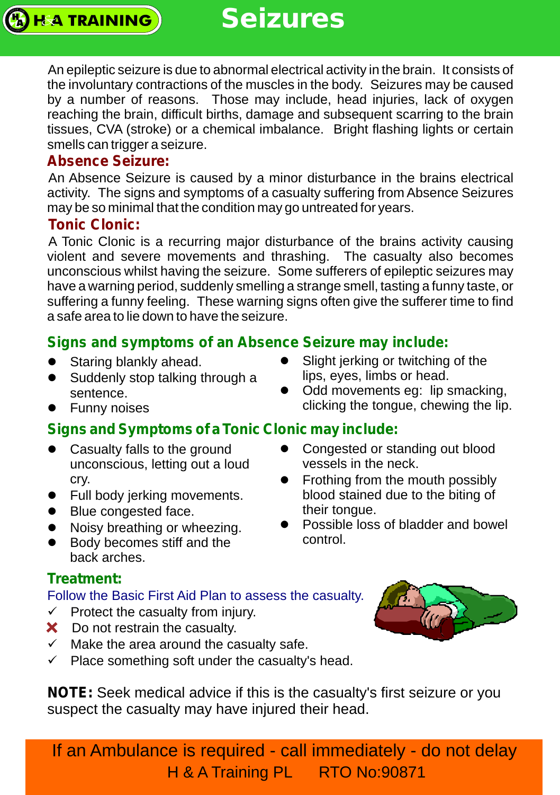An epileptic seizure is due to abnormal electrical activity in the brain. It consists of the involuntary contractions of the muscles in the body. Seizures may be caused by a number of reasons. Those may include, head injuries, lack of oxygen reaching the brain, difficult births, damage and subsequent scarring to the brain tissues, CVA (stroke) or a chemical imbalance. Bright flashing lights or certain smells can trigger a seizure.

#### **Absence Seizure:**

An Absence Seizure is caused by a minor disturbance in the brains electrical activity. The signs and symptoms of a casualty suffering from Absence Seizures may be so minimal that the condition may go untreated for years.

#### **Tonic Clonic:**

**HA TRAINING** 

A Tonic Clonic is a recurring major disturbance of the brains activity causing violent and severe movements and thrashing. The casualty also becomes unconscious whilst having the seizure. Some sufferers of epileptic seizures may have a warning period, suddenly smelling a strange smell, tasting a funny taste, or suffering a funny feeling. These warning signs often give the sufferer time to find a safe area to lie down to have the seizure.

### **Signs and symptoms of an Absence Seizure may include:**

- Staring blankly ahead.
- Suddenly stop talking through a sentence.
- Funny noises

# **Signs and Symptoms of a Tonic Clonic may include:**

- Casualty falls to the ground unconscious, letting out a loud cry.
- Full body jerking movements.
- Blue congested face.
- Noisy breathing or wheezing.
- Body becomes stiff and the back arches.

#### **Treatment:**

#### Follow the Basic First Aid Plan to assess the casualty.

- $\checkmark$  Protect the casualty from injury.
- X Do not restrain the casualty.
- $\checkmark$  Make the area around the casualty safe.
- $\checkmark$  Place something soft under the casualty's head.

**NOTE:** Seek medical advice if this is the casualty's first seizure or you suspect the casualty may have injured their head.



If an Ambulance is required - call immediately - do not delay H & A Training PL RTO No:90871

- Slight jerking or twitching of the lips, eyes, limbs or head.
- Odd movements eg: lip smacking, clicking the tongue, chewing the lip.

Congested or standing out blood

• Frothing from the mouth possibly

blood stained due to the biting of

• Possible loss of bladder and bowel

vessels in the neck.

their tongue.

control.